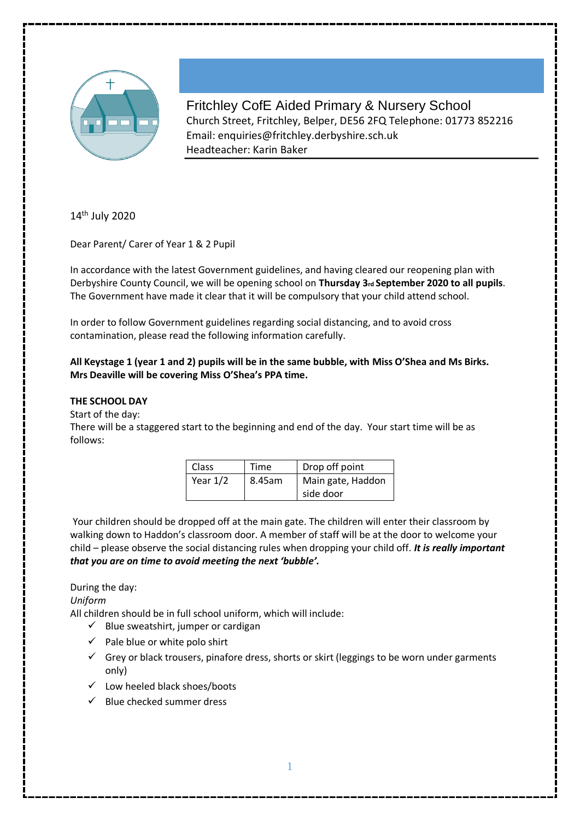

Fritchley CofE Aided Primary & Nursery School Church Street, Fritchley, Belper, DE56 2FQ Telephone: 01773 852216 Email: enquiries@fritchley.derbyshire.sch.uk Headteacher: Karin Baker

14<sup>th</sup> July 2020

Dear Parent/ Carer of Year 1 & 2 Pupil

In accordance with the latest Government guidelines, and having cleared our reopening plan with Derbyshire County Council, we will be opening school on **Thursday 3rd September 2020 to all pupils**. The Government have made it clear that it will be compulsory that your child attend school.

In order to follow Government guidelines regarding social distancing, and to avoid cross contamination, please read the following information carefully.

# **All Keystage 1 (year 1 and 2) pupils will be in the same bubble, with Miss O'Shea and Ms Birks. Mrs Deaville will be covering Miss O'Shea's PPA time.**

## **THE SCHOOL DAY**

Start of the day:

There will be a staggered start to the beginning and end of the day. Your start time will be as follows:

| <b>Class</b> | Time   | Drop off point    |
|--------------|--------|-------------------|
| Year $1/2$   | 8.45am | Main gate, Haddon |
|              |        | side door         |

Your children should be dropped off at the main gate. The children will enter their classroom by walking down to Haddon's classroom door. A member of staff will be at the door to welcome your child – please observe the social distancing rules when dropping your child off. *It is really important that you are on time to avoid meeting the next 'bubble'.* 

During the day:

*Uniform* 

All children should be in full school uniform, which will include:

- $\checkmark$  Blue sweatshirt, jumper or cardigan
- $\checkmark$  Pale blue or white polo shirt
- $\checkmark$  Grey or black trousers, pinafore dress, shorts or skirt (leggings to be worn under garments only)
- $\checkmark$  Low heeled black shoes/boots
- $\checkmark$  Blue checked summer dress